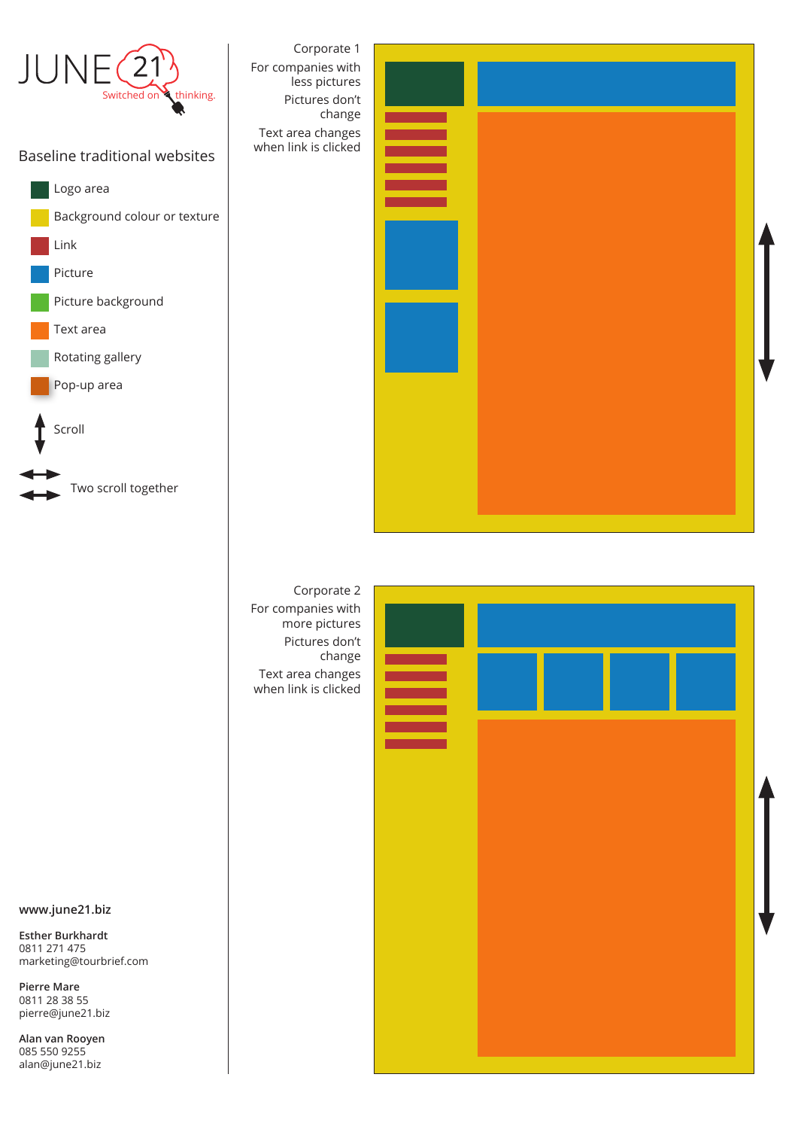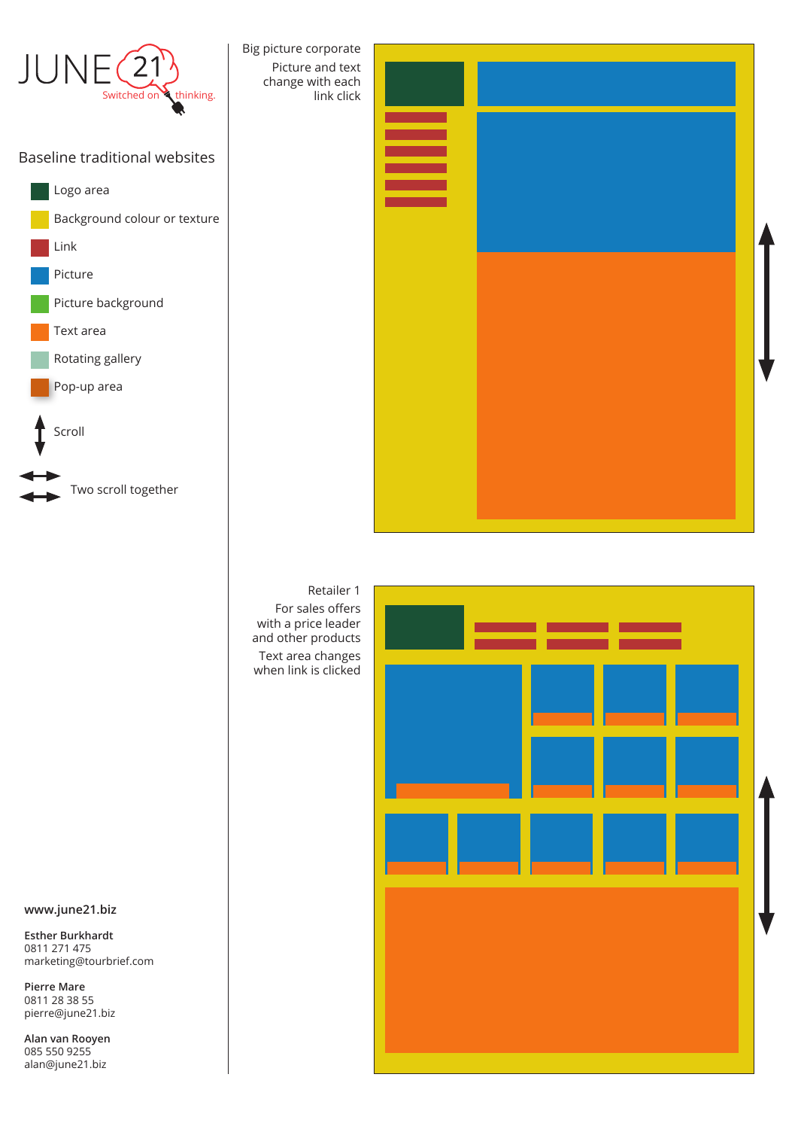

Retailer 1 For sales offers with a price leader and other products Text area changes when link is clicked



**www.june21.biz**

**Esther Burkhardt** 0811 271 475 marketing@tourbrief.com

**Pierre Mare** 0811 28 38 55 pierre@june21.biz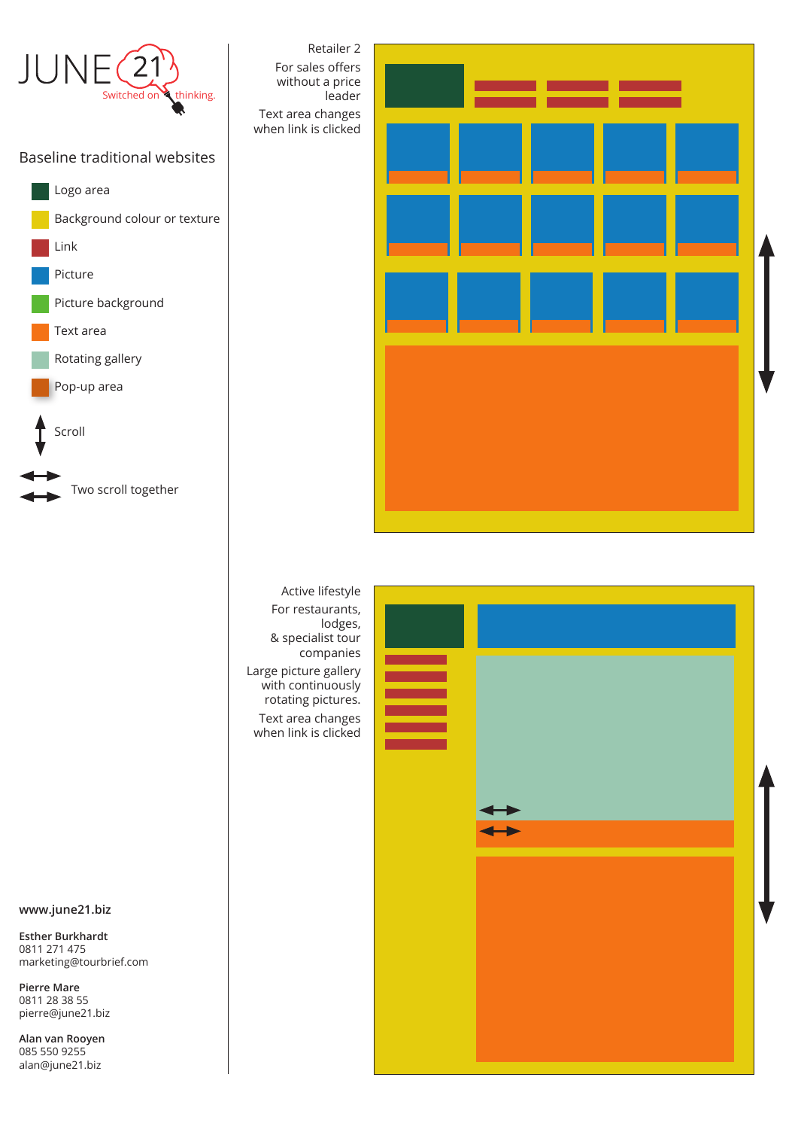

## Baseline traditional websites





For restaurants, lodges, & specialist tour companies Large picture gallery with continuously rotating pictures. Text area changes when link is clicked



**www.june21.biz**

**Esther Burkhardt** 0811 271 475 marketing@tourbrief.com

**Pierre Mare** 0811 28 38 55 pierre@june21.biz